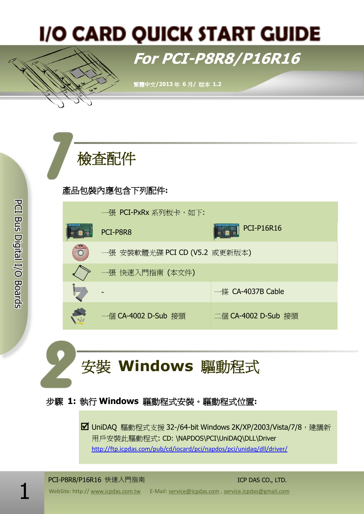# **I/O CARD QUICK START GUIDE**

# **For PCI-P8R8/P16R16**

繁體中文**/2013** 年 **6** 月**/** 版本 **1.2**



# 產品包裝內應包含下列配件**:**



安裝 **Windows** 驅動程式

# 步驟 **1:** 執行 **Windows** 驅動程式安裝。驅動程式位置**:**

■ UniDAQ 騙動程式支援 32-/64-bit Windows 2K/XP/2003/Vista/7/8, 建議新 用戶安裝此驅動程式: CD: \NAPDOS\PCI\UniDAQ\DLL\Driver <http://ftp.icpdas.com/pub/cd/iocard/pci/napdos/pci/unidaq/dll/driver/>

PCI-P8R8/P16R16 快速入門指南 ICP DAS CO., LTD.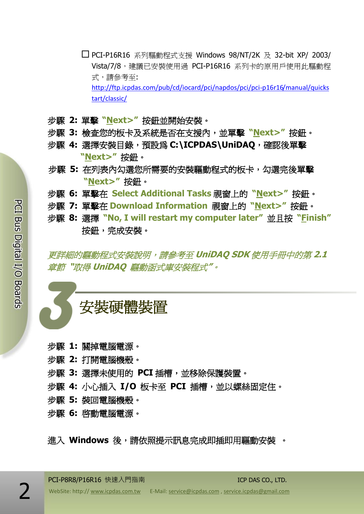- PCI-P16R16 系列驅動程式支援 Windows 98/NT/2K 及 32-bit XP/ 2003/ Vista/7/8,建議已安裝使用過 PCI-P16R16 系列卡的原用戶使用此驅動程 式,請參考至: [http://ftp.icpdas.com/pub/cd/iocard/pci/napdos/pci/pci-p16r16/manual/quicks](http://ftp.icpdas.com/pub/cd/iocard/pci/napdos/pci/pci-p16r16/manual/quickstart/classic/) [tart/classic/](http://ftp.icpdas.com/pub/cd/iocard/pci/napdos/pci/pci-p16r16/manual/quickstart/classic/)
- 步驟 **2:** 單擊 **"Next>"** 按鈕並開始安裝。
- 步驟 **3:** 檢查您的板卡及系統是否在支援內,並單擊 **"Next>"** 按鈕。
- 步驟 **4:** 選擇安裝目錄,預設為 **C:\ICPDAS\UniDAQ**,確認後單擊 **"Next>"** 按鈕。
- 步驟 **5:** 在列表內勾選您所需要的安裝驅動程式的板卡,勾選完後單擊 **"Next>"** 按鈕。
- 步驟 **6:** 單擊在 **Select Additional Tasks** 視窗上的 **"Next>"** 按鈕。
- 步驟 **7:** 單擊在 **Download Information** 視窗上的 **"Next>"** 按鈕。
- 步驟 **8:** 選擇 **"No, I will restart my computer later"** 並且按 **"Finish"** 按鈕,完成安裝。

更詳細的驅動程式安裝說明,請參考至 **UniDAQ SDK** 使用手冊中的第 **2.1** 章節 **"**取得 **UniDAQ** 驅動函式庫安裝程式**"**。

安裝硬體裝置

- 步驟 **1:** 關掉電腦電源。
- 步驟 **2:** 打開電腦機殼。
- 步驟 **3:** 選擇未使用的 **PCI** 插槽,並移除保護裝置。
- 步驟 **4:** 小心插入 **I/O** 板卡至 **PCI** 插槽,並以螺絲固定住。
- 步驟 **5:** 裝回電腦機殼。
- 步驟 **6:** 啟動電腦電源。

進入 **Windows** 後,請依照提示訊息完成即插即用驅動安裝 。

PCI-P8R8/P16R16 快速入門指南 ICP DAS CO., LTD.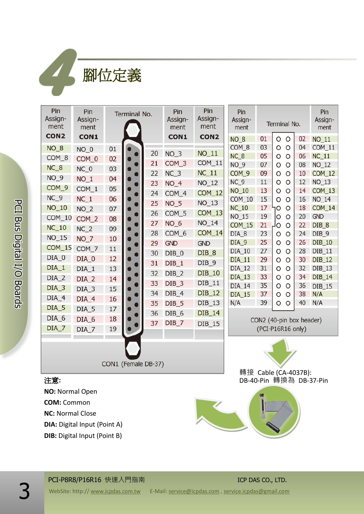腳位定義

4

| Pin<br>Assign-<br>ment                                                                                                                                                           | Pin<br>Assign-<br>ment                                           | Terminal No.                     |  |                            | Pin<br>Assign-<br>ment                                                 | Pin<br>Assign-<br>ment                                                  | Pin<br>Assign-<br>ment                                                                             | Terminal No.                                                                                                  |                                                                                                                                          |                                              | Pin<br>Assign-<br>ment                                                                     |
|----------------------------------------------------------------------------------------------------------------------------------------------------------------------------------|------------------------------------------------------------------|----------------------------------|--|----------------------------|------------------------------------------------------------------------|-------------------------------------------------------------------------|----------------------------------------------------------------------------------------------------|---------------------------------------------------------------------------------------------------------------|------------------------------------------------------------------------------------------------------------------------------------------|----------------------------------------------|--------------------------------------------------------------------------------------------|
| CON <sub>2</sub><br>$NO_8$<br>COM_8<br>$NC_8$<br>$NO_9$<br>COM_9<br>$NC_9$                                                                                                       | CON1<br>$NO_0$<br>COM_0<br>$NC_0$<br>$NO_1$<br>$COM_1$<br>$NC_1$ | 01<br>02<br>03<br>04<br>05<br>06 |  | 20<br>21<br>22<br>23<br>24 | CON1<br>$NO-3$<br>COM_3<br>NC <sub>3</sub><br>NO <sub>4</sub><br>COM 4 | CON <sub>2</sub><br>$NO_11$<br>$COM_11$<br>$NC_11$<br>NO_12<br>$COM_12$ | NO <sub>8</sub><br>COM_8<br>$NC_8$<br><b>NO_9</b><br>COM <sub>9</sub><br>$NC_9$<br>NO_10<br>COM_10 | 01<br>03<br>05<br>07<br>09<br>11<br>13<br>15                                                                  | $\circ$<br>$\circ$<br>O<br>$\circ$<br>O<br>$\circ$<br>O<br>$\circ$<br>$\circ$<br>$\circ$<br>O<br>$\circ$<br>O<br>$\circ$<br>O<br>$\circ$ | 02<br>04<br>06<br>08<br>10<br>12<br>14<br>16 | $NO_11$<br>$COM_11$<br>$NC_11$<br>NO_12<br>$COM_12$<br>$NO_13$<br>$COM_13$<br><b>NO_14</b> |
| $NO_10$<br>$COM_10$<br>$NC_10$<br>NO_15                                                                                                                                          | $NO_2$<br>COM_2<br>$NC_2$<br>$NO-7$                              | 07<br>08<br>09<br>10             |  | 25<br>26<br>27<br>28       | <b>NO_5</b><br>COM_5<br>$NO_6$<br>COM_6                                | $NO_13$<br>$COM_13$<br><b>NO_14</b><br>$COM_14$                         | <b>NC_10</b><br>NO_15<br><b>COM_15</b><br>DIA <sub>8</sub><br>DIA_9                                | 17<br>19<br>21<br>23<br>25                                                                                    | O<br>$\circ$<br>O<br>O<br>ΡO<br>O<br>O<br>$\circ$<br>$\circ$<br>$\circ$                                                                  | 18<br>20<br>22<br>24<br>26                   | COM_14<br><b>GND</b><br>DIB_8<br>DIB <sub>9</sub><br>DIB_10                                |
| COM_15<br>$DIA_0$<br>$DIA_1$<br>$DIA_2$<br>$DIA_3$                                                                                                                               | COM_7<br>$DIA_0$<br>$DIA_1$<br>$DIA_2$<br>DIA_3                  | 11<br>12<br>13<br>14<br>15       |  | 29<br>30<br>31<br>32<br>33 | <b>GND</b><br>$DIB_0$<br>DIB <sub>1</sub><br>$DIB_2$<br>$DIB_3$        | <b>GND</b><br>$DIB_8$<br>$DIB_9$<br>DIB_10<br>$DIB_11$<br>DIB_12        | DIA_10<br>DIA_11<br>DIA_12<br>DIA_13<br>DIA_14                                                     | 27<br>29<br>31<br>33<br>35                                                                                    | $\circ$<br>$\circ$<br>O<br>$\circ$<br>O<br>$\circ$<br>O<br>$\circ$<br>$\circ$<br>$\circ$                                                 | 28<br>30<br>32<br>34<br>36                   | $DIB_11$<br>DIB_12<br>DIB_13<br>DIB_14<br>DIB_15                                           |
| $DIA_4$<br>$DIA_5$<br>DIA_6<br>$DIA_7$                                                                                                                                           | $DIA_4$<br>$DIA_5$<br>DIA_6<br>DIA_7                             | 16<br>17<br>18<br>19             |  | 34<br>35<br>36<br>37       | $DIB_4$<br>$DIB_5$<br>DIB_6<br>$DIB_7$                                 | $DIB_13$<br>DIB_14<br>DIB_15                                            | DIA_15<br>N/A                                                                                      | 38<br>N/A<br>37<br>O<br>$\circ$<br>39<br>40<br>N/A<br>O<br>O<br>CON2 (40-pin box header)<br>(PCI-P16R16 only) |                                                                                                                                          |                                              |                                                                                            |
| CON1 (Female DB-37)                                                                                                                                                              |                                                                  |                                  |  |                            |                                                                        |                                                                         | 轉接 Cable (CA-4037B):                                                                               |                                                                                                               |                                                                                                                                          |                                              |                                                                                            |
| 注意:<br>DB-40-Pin 轉換為 DB-37-Pin<br>NO: Normal Open<br><b>COM: Common</b><br><b>NC: Normal Close</b><br><b>DIA:</b> Digital Input (Point A)<br><b>DIB:</b> Digital Input (Point B) |                                                                  |                                  |  |                            |                                                                        |                                                                         |                                                                                                    |                                                                                                               |                                                                                                                                          |                                              |                                                                                            |

PCI-P8R8/P16R16 快速入門指南 ICP DAS CO., LTD.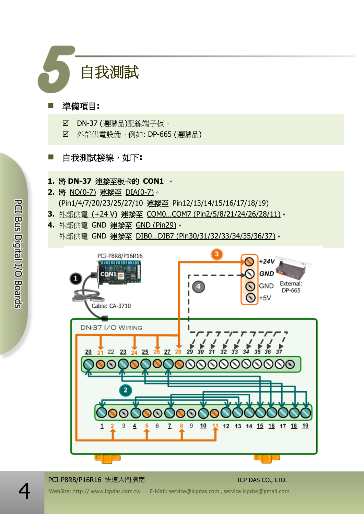

### 準備項目**:**

- Ø DN-37 (選購品)配線端子板。
- **☑** 外部供電設備。例如: DP-665 (選購品)

## ■ 自我測試接線,如下:

#### **1.** 將 **DN-37** 連接至板卡的 **CON1** 。

- **2.** 將 NO(0-7) 連接至 DIA(0-7)。 (Pin1/4/7/20/23/25/27/10 連接至 Pin12/13/14/15/16/17/18/19)
- **3.** 外部供電 (+24 V) 連接至 COM0…COM7 (Pin2/5/8/21/24/26/28/11)。
- **4.** 外部供電 GND 連接至 GND (Pin29)。 外部供電 GND 連接至 DIB0...DIB7 (Pin30/31/32/33/34/35/36/37)。



#### PCI-P8R8/P16R16 快速入門指南 ICP DAS CO., LTD.

PCI Bus Digital I/O Boards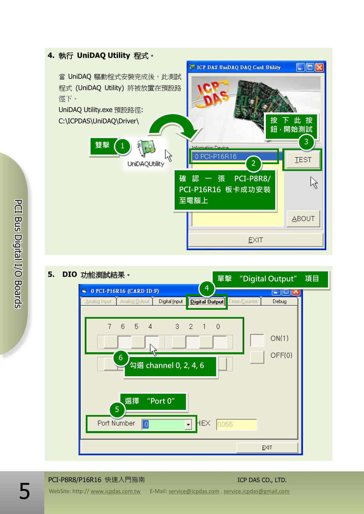#### **4.** 執行 **UniDAQ Utility** 程式。 **WE ICP DAS UniDAQ DAQ Card Utility**  $\Box$ dix 當 UniDAQ 驅動程式安裝完成後,此測試 程式 (UniDAQ Utility) 將被放置在預設路 徑下。 UniDAQ Utility.exe 預設路徑: 按下此按 C:\ICPDAS\UniDAQ\Driver\ 鈕,開始測試 3 雙擊 (1 ß 0 PCI-P16R16 **TEST UniDAQUtility**  $\overline{\mathcal{L}}$ 確認一張 PCI-P8R8/ ß PCI-P16R16 板卡成功安裝 至電腦上 **ABOUT** EXIT



#### **5. DIO** 功能測試結果。

# PCI-P8R8/P16R16 快速入門指南 ICP DAS CO., LTD.